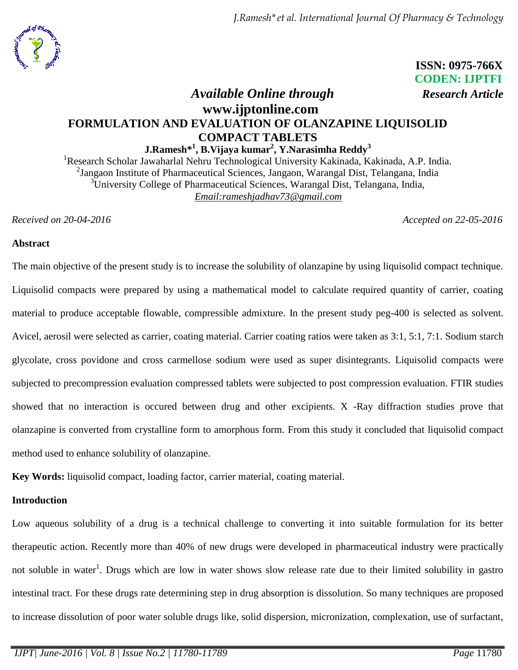*J.Ramesh\*et al. International Journal Of Pharmacy & Technology*



 **ISSN: 0975-766X CODEN: IJPTFI**

# *Available Online through Research Article* **www.ijptonline.com FORMULATION AND EVALUATION OF OLANZAPINE LIQUISOLID COMPACT TABLETS**

**J.Ramesh\*<sup>1</sup> , B.Vijaya kumar<sup>2</sup> , Y.Narasimha Reddy<sup>3</sup>**

<sup>1</sup>Research Scholar Jawaharlal Nehru Technological University Kakinada, Kakinada, A.P. India. <sup>2</sup> Jangaon Institute of Pharmaceutical Sciences, Jangaon, Warangal Dist, Telangana, India <sup>3</sup>University College of Pharmaceutical Sciences, Warangal Dist, Telangana, India, *Email[:rameshjadhav73@gmail.com](mailto:rameshjadhav73@gmail.com)*

*Received on 20-04-2016 Accepted on 22-05-2016*

### **Abstract**

The main objective of the present study is to increase the solubility of olanzapine by using liquisolid compact technique. Liquisolid compacts were prepared by using a mathematical model to calculate required quantity of carrier, coating material to produce acceptable flowable, compressible admixture. In the present study peg-400 is selected as solvent. Avicel, aerosil were selected as carrier, coating material. Carrier coating ratios were taken as 3:1, 5:1, 7:1. Sodium starch glycolate, cross povidone and cross carmellose sodium were used as super disintegrants. Liquisolid compacts were subjected to precompression evaluation compressed tablets were subjected to post compression evaluation. FTIR studies showed that no interaction is occured between drug and other excipients. X -Ray diffraction studies prove that olanzapine is converted from crystalline form to amorphous form. From this study it concluded that liquisolid compact method used to enhance solubility of olanzapine.

**Key Words:** liquisolid compact, loading factor, carrier material, coating material.

# **Introduction**

Low aqueous solubility of a drug is a technical challenge to converting it into suitable formulation for its better therapeutic action. Recently more than 40% of new drugs were developed in pharmaceutical industry were practically not soluble in water<sup>1</sup>. Drugs which are low in water shows slow release rate due to their limited solubility in gastro intestinal tract. For these drugs rate determining step in drug absorption is dissolution. So many techniques are proposed to increase dissolution of poor water soluble drugs like, solid dispersion, micronization, complexation, use of surfactant,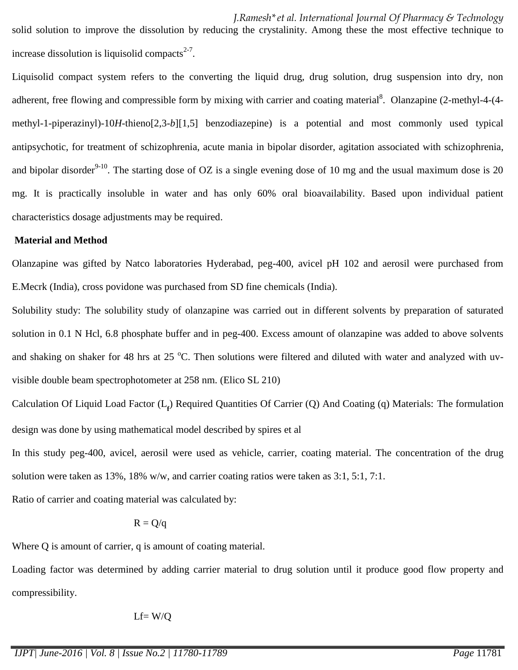*J.Ramesh\*et al. International Journal Of Pharmacy & Technology* solid solution to improve the dissolution by reducing the crystalinity. Among these the most effective technique to increase dissolution is liquisolid compacts $2-7$ .

Liquisolid compact system refers to the converting the liquid drug, drug solution, drug suspension into dry, non adherent, free flowing and compressible form by mixing with carrier and coating material<sup>8</sup>. Olanzapine (2-methyl-4-(4methyl-1-piperazinyl)-10*H*-thieno[2,3-*b*][1,5] benzodiazepine) is a potential and most commonly used typical antipsychotic, for treatment of schizophrenia, acute mania in bipolar disorder, agitation associated with schizophrenia, and bipolar disorder<sup>9-10</sup>. The starting dose of OZ is a single evening dose of 10 mg and the usual maximum dose is 20 mg. It is practically insoluble in water and has only 60% oral bioavailability. Based upon individual patient characteristics dosage adjustments may be required.

#### **Material and Method**

Olanzapine was gifted by Natco laboratories Hyderabad, peg-400, avicel pH 102 and aerosil were purchased from E.Mecrk (India), cross povidone was purchased from SD fine chemicals (India).

Solubility study: The solubility study of olanzapine was carried out in different solvents by preparation of saturated solution in 0.1 N Hcl, 6.8 phosphate buffer and in peg-400. Excess amount of olanzapine was added to above solvents and shaking on shaker for 48 hrs at 25  $\degree$ C. Then solutions were filtered and diluted with water and analyzed with uvvisible double beam spectrophotometer at 258 nm. (Elico SL 210)

Calculation Of Liquid Load Factor (L<sub>p</sub>) Required Quantities Of Carrier (Q) And Coating (q) Materials: The formulation design was done by using mathematical model described by spires et al

In this study peg-400, avicel, aerosil were used as vehicle, carrier, coating material. The concentration of the drug solution were taken as 13%, 18% w/w, and carrier coating ratios were taken as 3:1, 5:1, 7:1.

Ratio of carrier and coating material was calculated by:

$$
R = Q/q
$$

Where Q is amount of carrier, q is amount of coating material.

Loading factor was determined by adding carrier material to drug solution until it produce good flow property and compressibility.

$$
Lf = W/Q
$$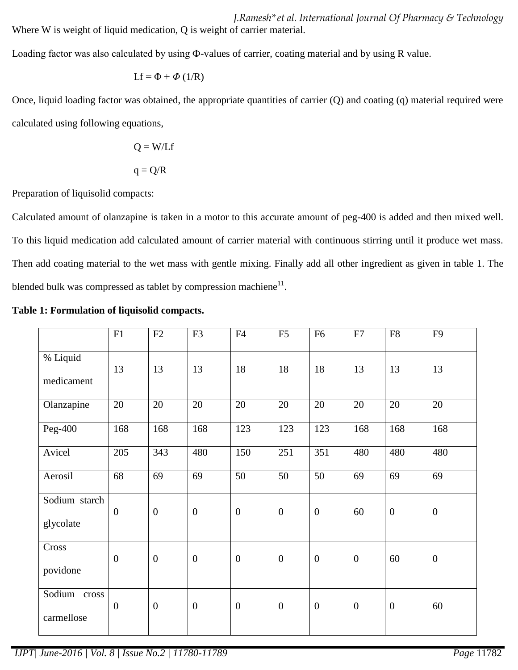*J.Ramesh\*et al. International Journal Of Pharmacy & Technology* Where W is weight of liquid medication, Q is weight of carrier material.

Loading factor was also calculated by using Ф-values of carrier, coating material and by using R value.

$$
Lf = \Phi + \Phi (1/R)
$$

Once, liquid loading factor was obtained, the appropriate quantities of carrier (Q) and coating (q) material required were calculated using following equations,

$$
Q = W/Lf
$$

$$
q = Q/R
$$

Preparation of liquisolid compacts:

Calculated amount of olanzapine is taken in a motor to this accurate amount of peg-400 is added and then mixed well. To this liquid medication add calculated amount of carrier material with continuous stirring until it produce wet mass. Then add coating material to the wet mass with gentle mixing. Finally add all other ingredient as given in table 1. The blended bulk was compressed as tablet by compression machiene $^{11}$ .

|                            | F1               | F2               | F <sub>3</sub>   | F4               | F5               | F <sub>6</sub>   | ${\rm F}7$       | ${\rm F}8$       | F <sub>9</sub>   |
|----------------------------|------------------|------------------|------------------|------------------|------------------|------------------|------------------|------------------|------------------|
| % Liquid<br>medicament     | 13               | 13               | 13               | 18               | 18               | 18               | 13               | 13               | 13               |
| Olanzapine                 | 20               | 20               | 20               | 20               | 20               | 20               | 20               | 20               | 20               |
| Peg-400                    | 168              | 168              | 168              | 123              | 123              | 123              | 168              | 168              | 168              |
| Avicel                     | 205              | 343              | 480              | 150              | 251              | 351              | 480              | 480              | 480              |
| Aerosil                    | 68               | 69               | 69               | 50               | 50               | 50               | 69               | 69               | 69               |
| Sodium starch<br>glycolate | $\boldsymbol{0}$ | $\boldsymbol{0}$ | $\boldsymbol{0}$ | $\boldsymbol{0}$ | $\boldsymbol{0}$ | $\boldsymbol{0}$ | 60               | $\boldsymbol{0}$ | $\boldsymbol{0}$ |
| Cross<br>povidone          | $\boldsymbol{0}$ | $\boldsymbol{0}$ | $\boldsymbol{0}$ | $\boldsymbol{0}$ | $\boldsymbol{0}$ | $\boldsymbol{0}$ | $\boldsymbol{0}$ | 60               | $\boldsymbol{0}$ |
| Sodium cross<br>carmellose | $\boldsymbol{0}$ | $\boldsymbol{0}$ | $\boldsymbol{0}$ | $\boldsymbol{0}$ | $\overline{0}$   | $\boldsymbol{0}$ | $\boldsymbol{0}$ | $\boldsymbol{0}$ | 60               |

| Table 1: Formulation of liquisolid compacts. |  |  |
|----------------------------------------------|--|--|
|----------------------------------------------|--|--|

*IJPT| June-2016 | Vol. 8 | Issue No.2 | 11780-11789 Page* 11782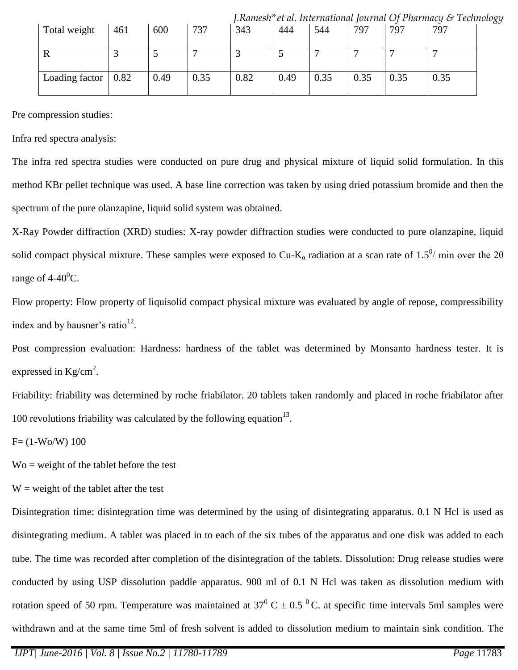|                |      |      |      |      |      |      |      |      | $\mu$ . The set of the contractional contract $\sim$ for the set of $\sim$ technology |  |
|----------------|------|------|------|------|------|------|------|------|---------------------------------------------------------------------------------------|--|
| Total weight   | 461  | 600  | 737  | 343  | 444  | 544  | 797  | 797  | 797                                                                                   |  |
|                |      |      |      |      |      |      |      |      |                                                                                       |  |
|                |      |      |      |      | ັ    |      |      |      |                                                                                       |  |
|                |      |      |      |      |      |      |      |      |                                                                                       |  |
| Loading factor | 0.82 | 0.49 | 0.35 | 0.82 | 0.49 | 0.35 | 0.35 | 0.35 | 0.35                                                                                  |  |
|                |      |      |      |      |      |      |      |      |                                                                                       |  |

*J.Ramesh\*et al. International Journal Of Pharmacy & Technology*

Pre compression studies:

Infra red spectra analysis:

The infra red spectra studies were conducted on pure drug and physical mixture of liquid solid formulation. In this method KBr pellet technique was used. A base line correction was taken by using dried potassium bromide and then the spectrum of the pure olanzapine, liquid solid system was obtained.

X-Ray Powder diffraction (XRD) studies: X-ray powder diffraction studies were conducted to pure olanzapine, liquid solid compact physical mixture. These samples were exposed to Cu-K<sub>a</sub> radiation at a scan rate of 1.5<sup>0</sup>/ min over the 20 range of  $4-40^0C$ .

Flow property: Flow property of liquisolid compact physical mixture was evaluated by angle of repose, compressibility index and by hausner's ratio $12$ .

Post compression evaluation: Hardness: hardness of the tablet was determined by Monsanto hardness tester. It is expressed in  $\text{Kg/cm}^2$ .

Friability: friability was determined by roche friabilator. 20 tablets taken randomly and placed in roche friabilator after 100 revolutions friability was calculated by the following equation $^{13}$ .

 $F = (1-Wo/W) 100$ 

 $\text{Wo} = \text{weight}$  of the tablet before the test

 $W = weight of the tablet after the test$ 

Disintegration time: disintegration time was determined by the using of disintegrating apparatus. 0.1 N Hcl is used as disintegrating medium. A tablet was placed in to each of the six tubes of the apparatus and one disk was added to each tube. The time was recorded after completion of the disintegration of the tablets. Dissolution: Drug release studies were conducted by using USP dissolution paddle apparatus. 900 ml of 0.1 N Hcl was taken as dissolution medium with rotation speed of 50 rpm. Temperature was maintained at  $37^{\circ}$  C  $\pm$  0.5  $^{\circ}$  C. at specific time intervals 5ml samples were withdrawn and at the same time 5ml of fresh solvent is added to dissolution medium to maintain sink condition. The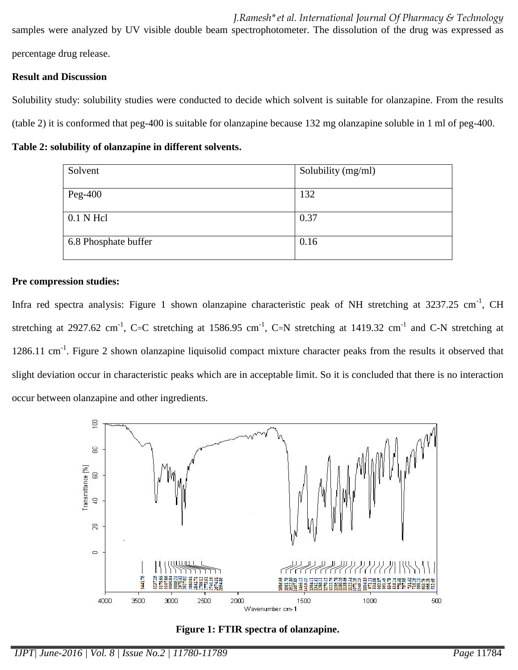*J.Ramesh\*et al. International Journal Of Pharmacy & Technology* samples were analyzed by UV visible double beam spectrophotometer. The dissolution of the drug was expressed as percentage drug release.

# **Result and Discussion**

Solubility study: solubility studies were conducted to decide which solvent is suitable for olanzapine. From the results (table 2) it is conformed that peg-400 is suitable for olanzapine because 132 mg olanzapine soluble in 1 ml of peg-400.

**Table 2: solubility of olanzapine in different solvents.**

| Solvent              | Solubility (mg/ml) |
|----------------------|--------------------|
| Peg-400              | 132                |
| $0.1$ N Hcl          | 0.37               |
| 6.8 Phosphate buffer | 0.16               |

# **Pre compression studies:**

Infra red spectra analysis: Figure 1 shown olanzapine characteristic peak of NH stretching at 3237.25 cm<sup>-1</sup>, CH stretching at 2927.62 cm<sup>-1</sup>, C=C stretching at 1586.95 cm<sup>-1</sup>, C=N stretching at 1419.32 cm<sup>-1</sup> and C-N stretching at 1286.11 cm<sup>-1</sup>. Figure 2 shown olanzapine liquisolid compact mixture character peaks from the results it observed that slight deviation occur in characteristic peaks which are in acceptable limit. So it is concluded that there is no interaction occur between olanzapine and other ingredients.



**Figure 1: FTIR spectra of olanzapine.**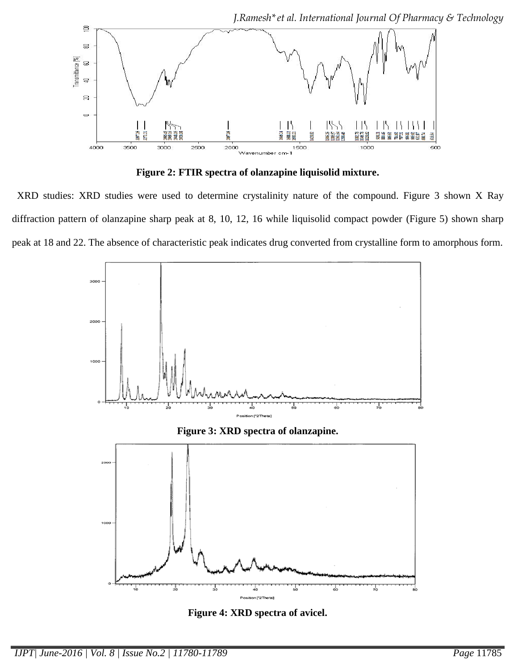

**Figure 2: FTIR spectra of olanzapine liquisolid mixture.**

 XRD studies: XRD studies were used to determine crystalinity nature of the compound. Figure 3 shown X Ray diffraction pattern of olanzapine sharp peak at 8, 10, 12, 16 while liquisolid compact powder (Figure 5) shown sharp peak at 18 and 22. The absence of characteristic peak indicates drug converted from crystalline form to amorphous form.



**Figure 3: XRD spectra of olanzapine.**



**Figure 4: XRD spectra of avicel.**

*IJPT| June-2016 | Vol. 8 | Issue No.2 | 11780-11789 Page* 11785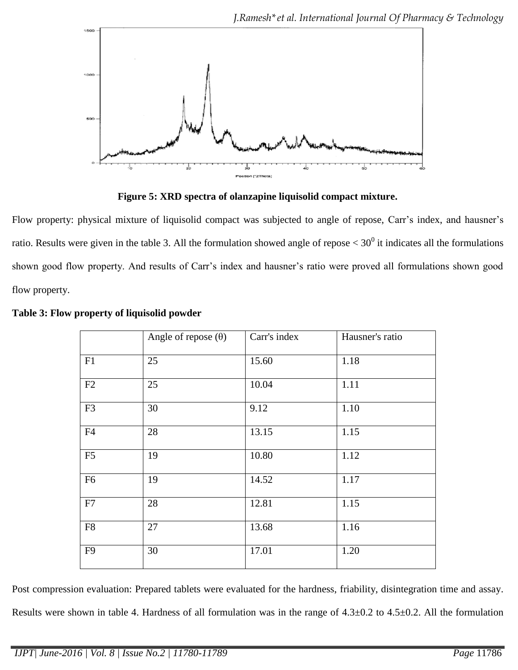

**Figure 5: XRD spectra of olanzapine liquisolid compact mixture.**

Flow property: physical mixture of liquisolid compact was subjected to angle of repose, Carr's index, and hausner's ratio. Results were given in the table 3. All the formulation showed angle of repose  $< 30^0$  it indicates all the formulations shown good flow property. And results of Carr's index and hausner's ratio were proved all formulations shown good flow property.

|                | Angle of repose $(\theta)$ | Carr's index | Hausner's ratio |
|----------------|----------------------------|--------------|-----------------|
| F1             | 25                         | 15.60        | 1.18            |
| F2             | 25                         | 10.04        | 1.11            |
| F <sub>3</sub> | 30                         | 9.12         | 1.10            |
| F4             | 28                         | 13.15        | 1.15            |
| F <sub>5</sub> | 19                         | 10.80        | 1.12            |
| F <sub>6</sub> | 19                         | 14.52        | 1.17            |
| F7             | 28                         | 12.81        | 1.15            |
| F8             | 27                         | 13.68        | 1.16            |
| F <sub>9</sub> | 30                         | 17.01        | 1.20            |

| Table 3: Flow property of liquisolid powder |  |  |  |  |  |
|---------------------------------------------|--|--|--|--|--|
|---------------------------------------------|--|--|--|--|--|

Post compression evaluation: Prepared tablets were evaluated for the hardness, friability, disintegration time and assay. Results were shown in table 4. Hardness of all formulation was in the range of 4.3±0.2 to 4.5±0.2. All the formulation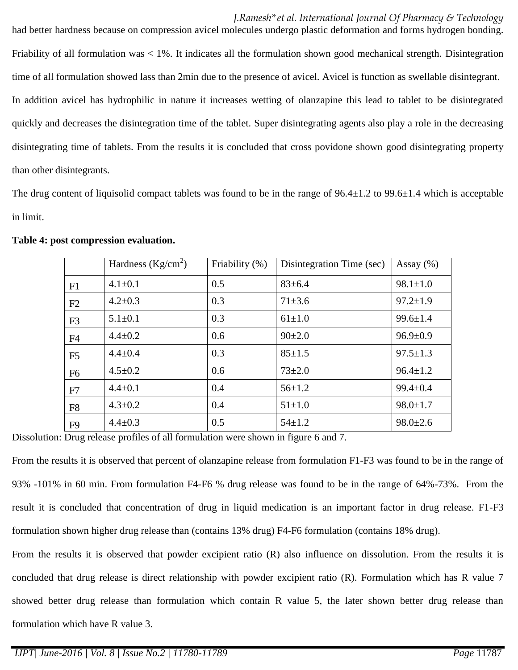### *J.Ramesh\*et al. International Journal Of Pharmacy & Technology*

had better hardness because on compression avicel molecules undergo plastic deformation and forms hydrogen bonding. Friability of all formulation was < 1%. It indicates all the formulation shown good mechanical strength. Disintegration time of all formulation showed lass than 2min due to the presence of avicel. Avicel is function as swellable disintegrant. In addition avicel has hydrophilic in nature it increases wetting of olanzapine this lead to tablet to be disintegrated quickly and decreases the disintegration time of the tablet. Super disintegrating agents also play a role in the decreasing disintegrating time of tablets. From the results it is concluded that cross povidone shown good disintegrating property than other disintegrants.

The drug content of liquisolid compact tablets was found to be in the range of  $96.4\pm1.2$  to  $99.6\pm1.4$  which is acceptable in limit.

|                | Hardness $(Kg/cm2)$ | Friability (%) | Disintegration Time (sec) | Assay $(\% )$  |
|----------------|---------------------|----------------|---------------------------|----------------|
| F1             | $4.1 \pm 0.1$       | 0.5            | $83 \pm 6.4$              | $98.1 \pm 1.0$ |
| F2             | $4.2 \pm 0.3$       | 0.3            | $71 \pm 3.6$              | $97.2 \pm 1.9$ |
| F <sub>3</sub> | $5.1 \pm 0.1$       | 0.3            | $61 \pm 1.0$              | $99.6 \pm 1.4$ |
| F <sub>4</sub> | $4.4 \pm 0.2$       | 0.6            | $90+2.0$                  | $96.9 \pm 0.9$ |
| F <sub>5</sub> | $4.4 \pm 0.4$       | 0.3            | $85 \pm 1.5$              | $97.5 \pm 1.3$ |
| F <sub>6</sub> | $4.5 \pm 0.2$       | 0.6            | $73 \pm 2.0$              | $96.4 \pm 1.2$ |
| F7             | $4.4 \pm 0.1$       | 0.4            | $56 \pm 1.2$              | $99.4 \pm 0.4$ |
| F <sub>8</sub> | $4.3 \pm 0.2$       | 0.4            | $51 \pm 1.0$              | $98.0 \pm 1.7$ |
| F <sub>9</sub> | $4.4 \pm 0.3$       | 0.5            | $54 \pm 1.2$              | $98.0 \pm 2.6$ |

#### **Table 4: post compression evaluation.**

Dissolution: Drug release profiles of all formulation were shown in figure 6 and 7.

From the results it is observed that percent of olanzapine release from formulation F1-F3 was found to be in the range of 93% -101% in 60 min. From formulation F4-F6 % drug release was found to be in the range of 64%-73%. From the result it is concluded that concentration of drug in liquid medication is an important factor in drug release. F1-F3 formulation shown higher drug release than (contains 13% drug) F4-F6 formulation (contains 18% drug).

From the results it is observed that powder excipient ratio (R) also influence on dissolution. From the results it is concluded that drug release is direct relationship with powder excipient ratio (R). Formulation which has R value 7 showed better drug release than formulation which contain R value 5, the later shown better drug release than formulation which have R value 3.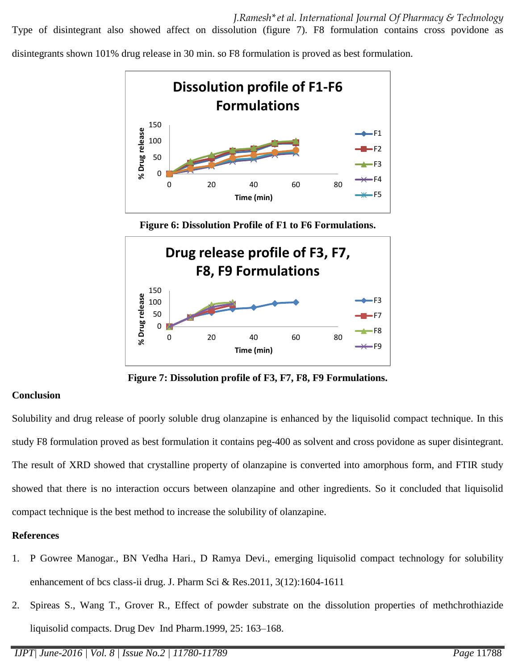Type of disintegrant also showed affect on dissolution (figure 7). F8 formulation contains cross povidone as

disintegrants shown 101% drug release in 30 min. so F8 formulation is proved as best formulation.



**Figure 6: Dissolution Profile of F1 to F6 Formulations.**



**Figure 7: Dissolution profile of F3, F7, F8, F9 Formulations.**

### **Conclusion**

Solubility and drug release of poorly soluble drug olanzapine is enhanced by the liquisolid compact technique. In this study F8 formulation proved as best formulation it contains peg-400 as solvent and cross povidone as super disintegrant. The result of XRD showed that crystalline property of olanzapine is converted into amorphous form, and FTIR study showed that there is no interaction occurs between olanzapine and other ingredients. So it concluded that liquisolid compact technique is the best method to increase the solubility of olanzapine.

### **References**

- 1. P Gowree Manogar., BN Vedha Hari., D Ramya Devi., emerging liquisolid compact technology for solubility enhancement of bcs class-ii drug. J. Pharm Sci & Res.2011, 3(12):1604-1611
- 2. Spireas S., Wang T., Grover R., Effect of powder substrate on the dissolution properties of methchrothiazide liquisolid compacts. Drug Dev Ind Pharm.1999, 25: 163–168.